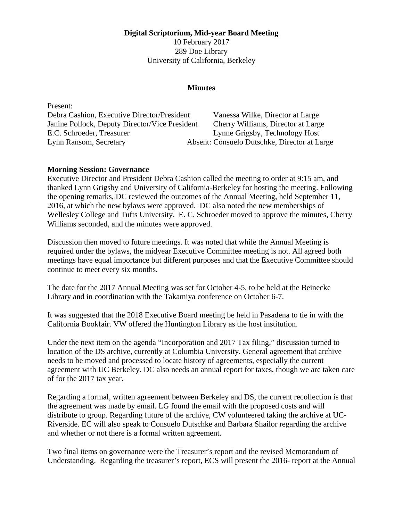**Digital Scriptorium, Mid-year Board Meeting** 

10 February 2017 289 Doe Library University of California, Berkeley

## **Minutes**

Present: Debra Cashion, Executive Director/President Vanessa Wilke, Director at Large Janine Pollock, Deputy Director/Vice President Cherry Williams, Director at Large E.C. Schroeder, Treasurer Lynne Grigsby, Technology Host Lynn Ransom, Secretary Absent: Consuelo Dutschke, Director at Large

## **Morning Session: Governance**

Executive Director and President Debra Cashion called the meeting to order at 9:15 am, and thanked Lynn Grigsby and University of California-Berkeley for hosting the meeting. Following the opening remarks, DC reviewed the outcomes of the Annual Meeting, held September 11, 2016, at which the new bylaws were approved. DC also noted the new memberships of Wellesley College and Tufts University. E. C. Schroeder moved to approve the minutes, Cherry Williams seconded, and the minutes were approved.

Discussion then moved to future meetings. It was noted that while the Annual Meeting is required under the bylaws, the midyear Executive Committee meeting is not. All agreed both meetings have equal importance but different purposes and that the Executive Committee should continue to meet every six months.

The date for the 2017 Annual Meeting was set for October 4-5, to be held at the Beinecke Library and in coordination with the Takamiya conference on October 6-7.

It was suggested that the 2018 Executive Board meeting be held in Pasadena to tie in with the California Bookfair. VW offered the Huntington Library as the host institution.

Under the next item on the agenda "Incorporation and 2017 Tax filing," discussion turned to location of the DS archive, currently at Columbia University. General agreement that archive needs to be moved and processed to locate history of agreements, especially the current agreement with UC Berkeley. DC also needs an annual report for taxes, though we are taken care of for the 2017 tax year.

Regarding a formal, written agreement between Berkeley and DS, the current recollection is that the agreement was made by email. LG found the email with the proposed costs and will distribute to group. Regarding future of the archive, CW volunteered taking the archive at UC-Riverside. EC will also speak to Consuelo Dutschke and Barbara Shailor regarding the archive and whether or not there is a formal written agreement.

Two final items on governance were the Treasurer's report and the revised Memorandum of Understanding. Regarding the treasurer's report, ECS will present the 2016- report at the Annual